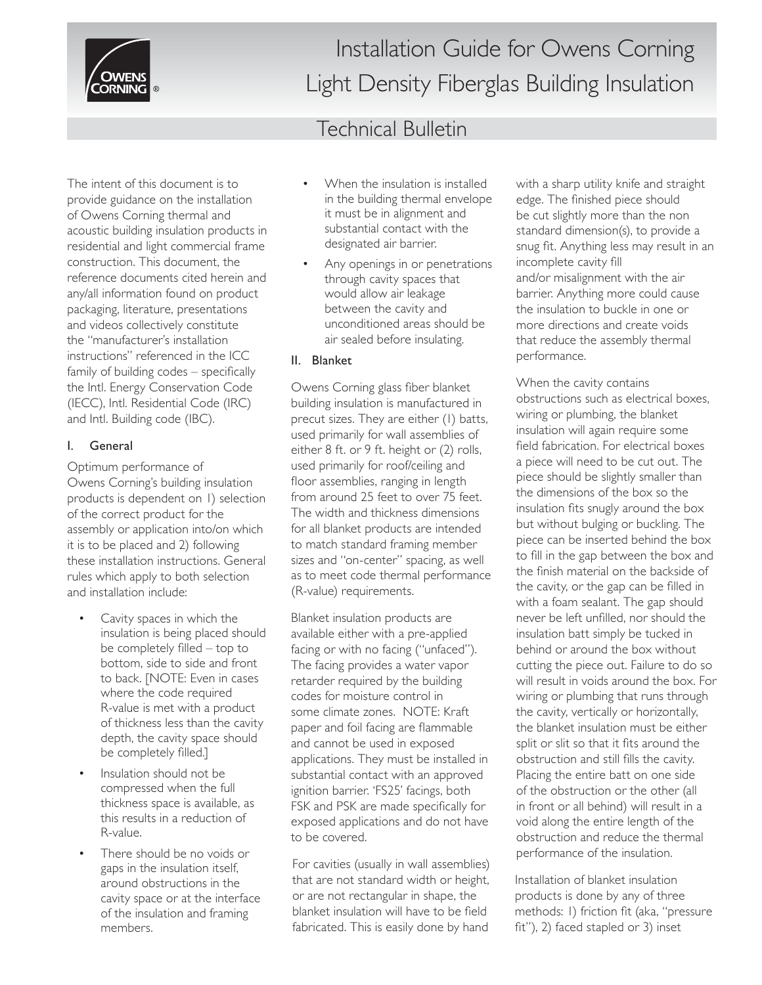

Installation Guide for Owens Corning Light Density Fiberglas Building Insulation

### Technical Bulletin

The intent of this document is to provide guidance on the installation of Owens Corning thermal and acoustic building insulation products in residential and light commercial frame construction. This document, the reference documents cited herein and any/all information found on product packaging, literature, presentations and videos collectively constitute the "manufacturer's installation instructions" referenced in the ICC family of building  $codes$  – specifically the Intl. Energy Conservation Code (IECC), Intl. Residential Code (IRC) and Intl. Building code (IBC).

### I. General

Optimum performance of Owens Corning's building insulation products is dependent on 1) selection of the correct product for the assembly or application into/on which it is to be placed and 2) following these installation instructions. General rules which apply to both selection and installation include:

- Cavity spaces in which the insulation is being placed should be completely filled  $-$  top to bottom, side to side and front to back. [NOTE: Even in cases where the code required R-value is met with a product of thickness less than the cavity depth, the cavity space should be completely filled.]
- Insulation should not be compressed when the full thickness space is available, as this results in a reduction of R-value.
- There should be no voids or gaps in the insulation itself, around obstructions in the cavity space or at the interface of the insulation and framing members.
- When the insulation is installed in the building thermal envelope it must be in alignment and substantial contact with the designated air barrier.
- Any openings in or penetrations through cavity spaces that would allow air leakage between the cavity and unconditioned areas should be air sealed before insulating.

### II. Blanket

Owens Corning glass fiber blanket building insulation is manufactured in precut sizes. They are either (1) batts, used primarily for wall assemblies of either 8 ft. or 9 ft. height or (2) rolls, used primarily for roof/ceiling and floor assemblies, ranging in length from around 25 feet to over 75 feet. The width and thickness dimensions for all blanket products are intended to match standard framing member sizes and "on-center" spacing, as well as to meet code thermal performance (R-value) requirements.

Blanket insulation products are available either with a pre-applied facing or with no facing ("unfaced"). The facing provides a water vapor retarder required by the building codes for moisture control in some climate zones. NOTE: Kraft paper and foil facing are flammable and cannot be used in exposed applications. They must be installed in substantial contact with an approved ignition barrier. 'FS25' facings, both FSK and PSK are made specifically for exposed applications and do not have to be covered.

For cavities (usually in wall assemblies) that are not standard width or height, or are not rectangular in shape, the blanket insulation will have to be field fabricated. This is easily done by hand

with a sharp utility knife and straight edge. The finished piece should be cut slightly more than the non standard dimension(s), to provide a snug fit. Anything less may result in an incomplete cavity fill and/or misalignment with the air barrier. Anything more could cause the insulation to buckle in one or more directions and create voids that reduce the assembly thermal performance.

When the cavity contains obstructions such as electrical boxes, wiring or plumbing, the blanket insulation will again require some field fabrication. For electrical boxes a piece will need to be cut out. The piece should be slightly smaller than the dimensions of the box so the insulation fits snugly around the box but without bulging or buckling. The piece can be inserted behind the box to fill in the gap between the box and the finish material on the backside of the cavity, or the gap can be filled in with a foam sealant. The gap should never be left unfilled, nor should the insulation batt simply be tucked in behind or around the box without cutting the piece out. Failure to do so will result in voids around the box. For wiring or plumbing that runs through the cavity, vertically or horizontally, the blanket insulation must be either split or slit so that it fits around the obstruction and still fills the cavity. Placing the entire batt on one side of the obstruction or the other (all in front or all behind) will result in a void along the entire length of the obstruction and reduce the thermal performance of the insulation.

Installation of blanket insulation products is done by any of three methods: I) friction fit (aka, "pressure fit"), 2) faced stapled or 3) inset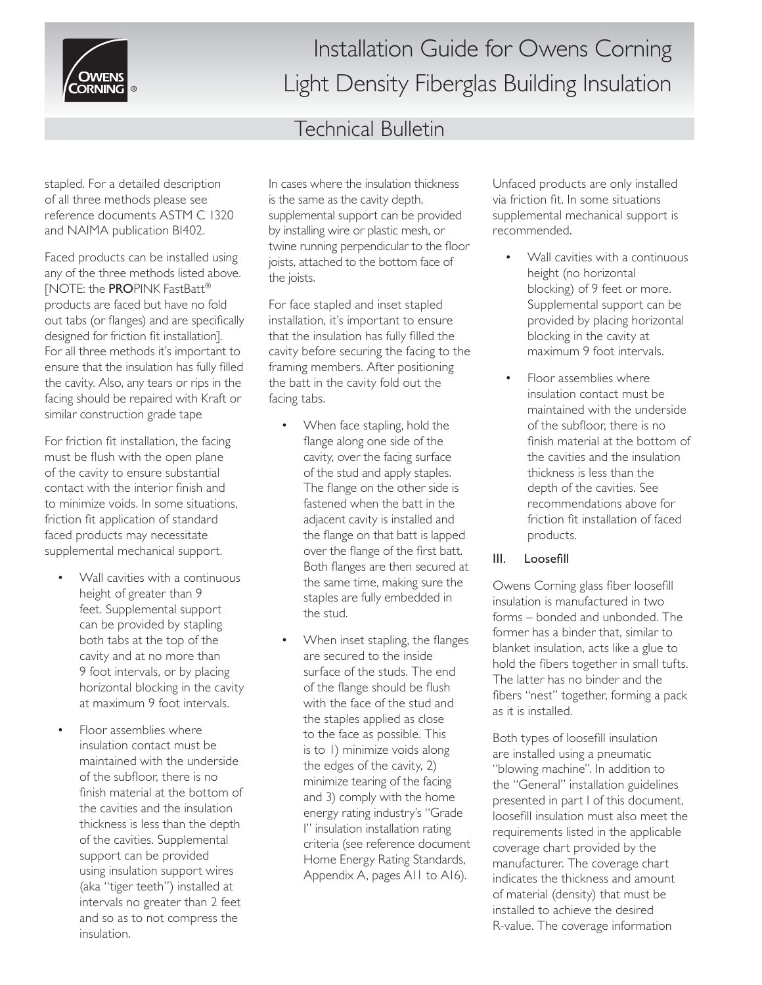

# Installation Guide for Owens Corning Light Density Fiberglas Building Insulation

## Technical Bulletin

stapled. For a detailed description of all three methods please see reference documents ASTM C 1320 and NAIMA publication BI402.

Faced products can be installed using any of the three methods listed above. [NOTE: the PROPINK FastBatt® products are faced but have no fold out tabs (or flanges) and are specifically designed for friction fit installation]. For all three methods it's important to ensure that the insulation has fully filled the cavity. Also, any tears or rips in the facing should be repaired with Kraft or similar construction grade tape

For friction fit installation, the facing must be flush with the open plane of the cavity to ensure substantial contact with the interior finish and to minimize voids. In some situations, friction fit application of standard faced products may necessitate supplemental mechanical support.

- Wall cavities with a continuous height of greater than 9 feet. Supplemental support can be provided by stapling both tabs at the top of the cavity and at no more than 9 foot intervals, or by placing horizontal blocking in the cavity at maximum 9 foot intervals.
- Floor assemblies where insulation contact must be maintained with the underside of the subfloor, there is no finish material at the bottom of the cavities and the insulation thickness is less than the depth of the cavities. Supplemental support can be provided using insulation support wires (aka "tiger teeth") installed at intervals no greater than 2 feet and so as to not compress the insulation.

In cases where the insulation thickness is the same as the cavity depth, supplemental support can be provided by installing wire or plastic mesh, or twine running perpendicular to the floor joists, attached to the bottom face of the joists.

For face stapled and inset stapled installation, it's important to ensure that the insulation has fully filled the cavity before securing the facing to the framing members. After positioning the batt in the cavity fold out the facing tabs.

- When face stapling, hold the flange along one side of the cavity, over the facing surface of the stud and apply staples. The flange on the other side is fastened when the batt in the adjacent cavity is installed and the flange on that batt is lapped over the flange of the first batt. Both flanges are then secured at the same time, making sure the staples are fully embedded in the stud.
- When inset stapling, the flanges are secured to the inside surface of the studs. The end of the flange should be flush with the face of the stud and the staples applied as close to the face as possible. This is to 1) minimize voids along the edges of the cavity, 2) minimize tearing of the facing and 3) comply with the home energy rating industry's "Grade I" insulation installation rating criteria (see reference document Home Energy Rating Standards, Appendix A, pages A11 to A16).

Unfaced products are only installed via friction fit. In some situations supplemental mechanical support is recommended.

- Wall cavities with a continuous height (no horizontal blocking) of 9 feet or more. Supplemental support can be provided by placing horizontal blocking in the cavity at maximum 9 foot intervals.
- Floor assemblies where insulation contact must be maintained with the underside of the subfloor, there is no finish material at the bottom of the cavities and the insulation thickness is less than the depth of the cavities. See recommendations above for friction fit installation of faced products.

#### III. Loosefill

Owens Corning glass fiber loosefill insulation is manufactured in two forms – bonded and unbonded. The former has a binder that, similar to blanket insulation, acts like a glue to hold the fibers together in small tufts. The latter has no binder and the fibers "nest" together, forming a pack as it is installed.

Both types of loosefill insulation are installed using a pneumatic "blowing machine". In addition to the "General" installation guidelines presented in part I of this document, loosefill insulation must also meet the requirements listed in the applicable coverage chart provided by the manufacturer. The coverage chart indicates the thickness and amount of material (density) that must be installed to achieve the desired R-value. The coverage information